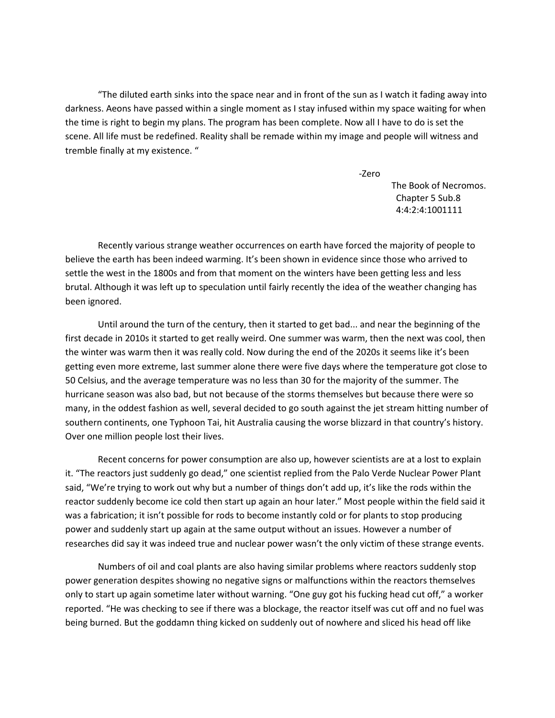"The diluted earth sinks into the space near and in front of the sun as I watch it fading away into darkness. Aeons have passed within a single moment as I stay infused within my space waiting for when the time is right to begin my plans. The program has been complete. Now all I have to do is set the scene. All life must be redefined. Reality shall be remade within my image and people will witness and tremble finally at my existence. "

-Zero

The Book of Necromos. Chapter 5 Sub.8 4:4:2:4:1001111

Recently various strange weather occurrences on earth have forced the majority of people to believe the earth has been indeed warming. It's been shown in evidence since those who arrived to settle the west in the 1800s and from that moment on the winters have been getting less and less brutal. Although it was left up to speculation until fairly recently the idea of the weather changing has been ignored.

Until around the turn of the century, then it started to get bad... and near the beginning of the first decade in 2010s it started to get really weird. One summer was warm, then the next was cool, then the winter was warm then it was really cold. Now during the end of the 2020s it seems like it's been getting even more extreme, last summer alone there were five days where the temperature got close to 50 Celsius, and the average temperature was no less than 30 for the majority of the summer. The hurricane season was also bad, but not because of the storms themselves but because there were so many, in the oddest fashion as well, several decided to go south against the jet stream hitting number of southern continents, one Typhoon Tai, hit Australia causing the worse blizzard in that country's history. Over one million people lost their lives.

Recent concerns for power consumption are also up, however scientists are at a lost to explain it. "The reactors just suddenly go dead," one scientist replied from the Palo Verde Nuclear Power Plant said, "We're trying to work out why but a number of things don't add up, it's like the rods within the reactor suddenly become ice cold then start up again an hour later." Most people within the field said it was a fabrication; it isn't possible for rods to become instantly cold or for plants to stop producing power and suddenly start up again at the same output without an issues. However a number of researches did say it was indeed true and nuclear power wasn't the only victim of these strange events.

Numbers of oil and coal plants are also having similar problems where reactors suddenly stop power generation despites showing no negative signs or malfunctions within the reactors themselves only to start up again sometime later without warning. "One guy got his fucking head cut off," a worker reported. "He was checking to see if there was a blockage, the reactor itself was cut off and no fuel was being burned. But the goddamn thing kicked on suddenly out of nowhere and sliced his head off like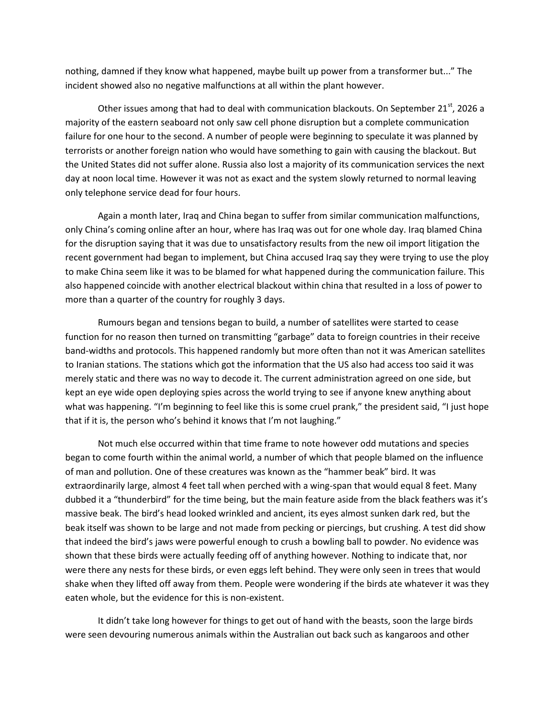nothing, damned if they know what happened, maybe built up power from a transformer but..." The incident showed also no negative malfunctions at all within the plant however.

Other issues among that had to deal with communication blackouts. On September  $21^{st}$ , 2026 a majority of the eastern seaboard not only saw cell phone disruption but a complete communication failure for one hour to the second. A number of people were beginning to speculate it was planned by terrorists or another foreign nation who would have something to gain with causing the blackout. But the United States did not suffer alone. Russia also lost a majority of its communication services the next day at noon local time. However it was not as exact and the system slowly returned to normal leaving only telephone service dead for four hours.

Again a month later, Iraq and China began to suffer from similar communication malfunctions, only China's coming online after an hour, where has Iraq was out for one whole day. Iraq blamed China for the disruption saying that it was due to unsatisfactory results from the new oil import litigation the recent government had began to implement, but China accused Iraq say they were trying to use the ploy to make China seem like it was to be blamed for what happened during the communication failure. This also happened coincide with another electrical blackout within china that resulted in a loss of power to more than a quarter of the country for roughly 3 days.

Rumours began and tensions began to build, a number of satellites were started to cease function for no reason then turned on transmitting "garbage" data to foreign countries in their receive band-widths and protocols. This happened randomly but more often than not it was American satellites to Iranian stations. The stations which got the information that the US also had access too said it was merely static and there was no way to decode it. The current administration agreed on one side, but kept an eye wide open deploying spies across the world trying to see if anyone knew anything about what was happening. "I'm beginning to feel like this is some cruel prank," the president said, "I just hope that if it is, the person who's behind it knows that I'm not laughing."

Not much else occurred within that time frame to note however odd mutations and species began to come fourth within the animal world, a number of which that people blamed on the influence of man and pollution. One of these creatures was known as the "hammer beak" bird. It was extraordinarily large, almost 4 feet tall when perched with a wing-span that would equal 8 feet. Many dubbed it a "thunderbird" for the time being, but the main feature aside from the black feathers was it's massive beak. The bird's head looked wrinkled and ancient, its eyes almost sunken dark red, but the beak itself was shown to be large and not made from pecking or piercings, but crushing. A test did show that indeed the bird's jaws were powerful enough to crush a bowling ball to powder. No evidence was shown that these birds were actually feeding off of anything however. Nothing to indicate that, nor were there any nests for these birds, or even eggs left behind. They were only seen in trees that would shake when they lifted off away from them. People were wondering if the birds ate whatever it was they eaten whole, but the evidence for this is non-existent.

It didn't take long however for things to get out of hand with the beasts, soon the large birds were seen devouring numerous animals within the Australian out back such as kangaroos and other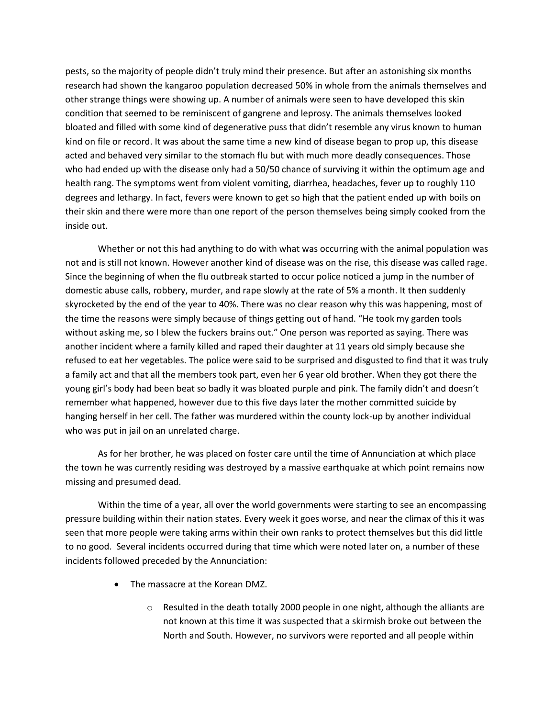pests, so the majority of people didn't truly mind their presence. But after an astonishing six months research had shown the kangaroo population decreased 50% in whole from the animals themselves and other strange things were showing up. A number of animals were seen to have developed this skin condition that seemed to be reminiscent of gangrene and leprosy. The animals themselves looked bloated and filled with some kind of degenerative puss that didn't resemble any virus known to human kind on file or record. It was about the same time a new kind of disease began to prop up, this disease acted and behaved very similar to the stomach flu but with much more deadly consequences. Those who had ended up with the disease only had a 50/50 chance of surviving it within the optimum age and health rang. The symptoms went from violent vomiting, diarrhea, headaches, fever up to roughly 110 degrees and lethargy. In fact, fevers were known to get so high that the patient ended up with boils on their skin and there were more than one report of the person themselves being simply cooked from the inside out.

Whether or not this had anything to do with what was occurring with the animal population was not and is still not known. However another kind of disease was on the rise, this disease was called rage. Since the beginning of when the flu outbreak started to occur police noticed a jump in the number of domestic abuse calls, robbery, murder, and rape slowly at the rate of 5% a month. It then suddenly skyrocketed by the end of the year to 40%. There was no clear reason why this was happening, most of the time the reasons were simply because of things getting out of hand. "He took my garden tools without asking me, so I blew the fuckers brains out." One person was reported as saying. There was another incident where a family killed and raped their daughter at 11 years old simply because she refused to eat her vegetables. The police were said to be surprised and disgusted to find that it was truly a family act and that all the members took part, even her 6 year old brother. When they got there the young girl's body had been beat so badly it was bloated purple and pink. The family didn't and doesn't remember what happened, however due to this five days later the mother committed suicide by hanging herself in her cell. The father was murdered within the county lock-up by another individual who was put in jail on an unrelated charge.

As for her brother, he was placed on foster care until the time of Annunciation at which place the town he was currently residing was destroyed by a massive earthquake at which point remains now missing and presumed dead.

Within the time of a year, all over the world governments were starting to see an encompassing pressure building within their nation states. Every week it goes worse, and near the climax of this it was seen that more people were taking arms within their own ranks to protect themselves but this did little to no good. Several incidents occurred during that time which were noted later on, a number of these incidents followed preceded by the Annunciation:

- The massacre at the Korean DMZ.
	- o Resulted in the death totally 2000 people in one night, although the alliants are not known at this time it was suspected that a skirmish broke out between the North and South. However, no survivors were reported and all people within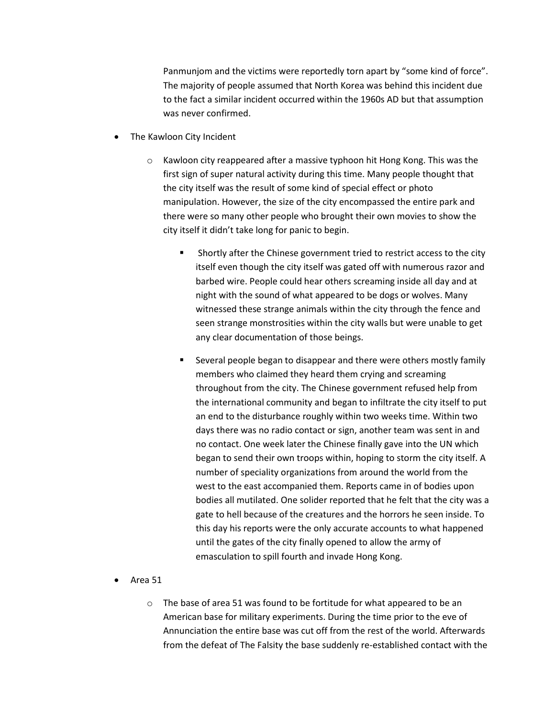Panmunjom and the victims were reportedly torn apart by "some kind of force". The majority of people assumed that North Korea was behind this incident due to the fact a similar incident occurred within the 1960s AD but that assumption was never confirmed.

- The Kawloon City Incident
	- o Kawloon city reappeared after a massive typhoon hit Hong Kong. This was the first sign of super natural activity during this time. Many people thought that the city itself was the result of some kind of special effect or photo manipulation. However, the size of the city encompassed the entire park and there were so many other people who brought their own movies to show the city itself it didn't take long for panic to begin.
		- **Shortly after the Chinese government tried to restrict access to the city** itself even though the city itself was gated off with numerous razor and barbed wire. People could hear others screaming inside all day and at night with the sound of what appeared to be dogs or wolves. Many witnessed these strange animals within the city through the fence and seen strange monstrosities within the city walls but were unable to get any clear documentation of those beings.
		- **Several people began to disappear and there were others mostly family** members who claimed they heard them crying and screaming throughout from the city. The Chinese government refused help from the international community and began to infiltrate the city itself to put an end to the disturbance roughly within two weeks time. Within two days there was no radio contact or sign, another team was sent in and no contact. One week later the Chinese finally gave into the UN which began to send their own troops within, hoping to storm the city itself. A number of speciality organizations from around the world from the west to the east accompanied them. Reports came in of bodies upon bodies all mutilated. One solider reported that he felt that the city was a gate to hell because of the creatures and the horrors he seen inside. To this day his reports were the only accurate accounts to what happened until the gates of the city finally opened to allow the army of emasculation to spill fourth and invade Hong Kong.
- Area 51
	- o The base of area 51 was found to be fortitude for what appeared to be an American base for military experiments. During the time prior to the eve of Annunciation the entire base was cut off from the rest of the world. Afterwards from the defeat of The Falsity the base suddenly re-established contact with the